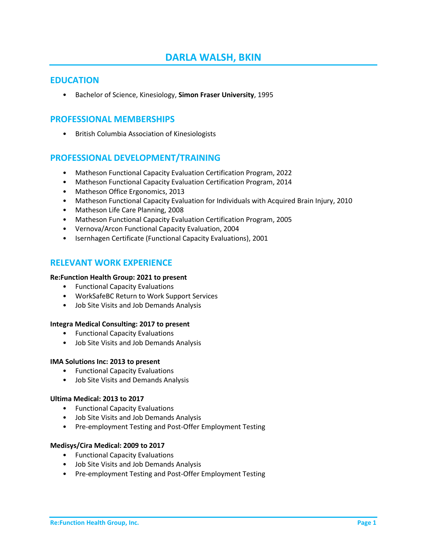# **DARLA WALSH, BKIN**

### **EDUCATION**

• Bachelor of Science, Kinesiology, **Simon Fraser University**, 1995

# **PROFESSIONAL MEMBERSHIPS**

• British Columbia Association of Kinesiologists

# **PROFESSIONAL DEVELOPMENT/TRAINING**

- Matheson Functional Capacity Evaluation Certification Program, 2022
- Matheson Functional Capacity Evaluation Certification Program, 2014
- Matheson Office Ergonomics, 2013
- Matheson Functional Capacity Evaluation for Individuals with Acquired Brain Injury, 2010
- Matheson Life Care Planning, 2008
- Matheson Functional Capacity Evaluation Certification Program, 2005
- Vernova/Arcon Functional Capacity Evaluation, 2004
- Isernhagen Certificate (Functional Capacity Evaluations), 2001

# **RELEVANT WORK EXPERIENCE**

#### **Re:Function Health Group: 2021 to present**

- Functional Capacity Evaluations
- WorkSafeBC Return to Work Support Services
- Job Site Visits and Job Demands Analysis

#### **Integra Medical Consulting: 2017 to present**

- Functional Capacity Evaluations
- Job Site Visits and Job Demands Analysis

#### **IMA Solutions Inc: 2013 to present**

- Functional Capacity Evaluations
- Job Site Visits and Demands Analysis

#### **Ultima Medical: 2013 to 2017**

- Functional Capacity Evaluations
- Job Site Visits and Job Demands Analysis
- Pre-employment Testing and Post-Offer Employment Testing

#### **Medisys/Cira Medical: 2009 to 2017**

- Functional Capacity Evaluations
- Job Site Visits and Job Demands Analysis
- Pre-employment Testing and Post-Offer Employment Testing